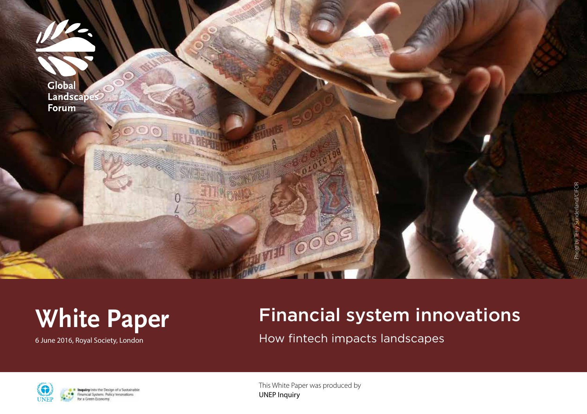

## **White Paper**

6 June 2016, Royal Society, London

## Financial system innovations

How fintech impacts landscapes



Inquiry into the Design of a Sustainable Financial System: Policy Innovations for a Green Economy

This White Paper was produced by UNEP Inquiry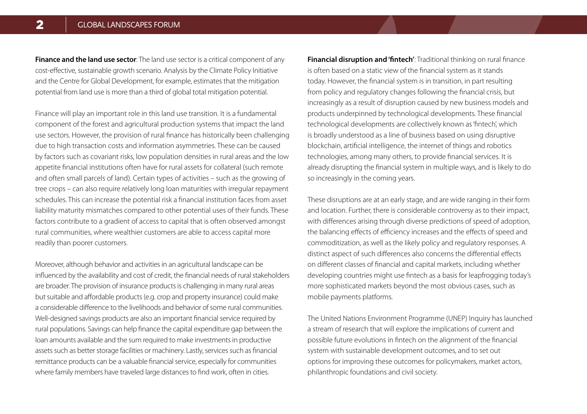**Finance and the land use sector**: The land use sector is a critical component of any cost-effective, sustainable growth scenario. Analysis by the Climate Policy Initiative and the Centre for Global Development, for example, estimates that the mitigation potential from land use is more than a third of global total mitigation potential.

Finance will play an important role in this land use transition. It is a fundamental component of the forest and agricultural production systems that impact the land use sectors. However, the provision of rural finance has historically been challenging due to high transaction costs and information asymmetries. These can be caused by factors such as covariant risks, low population densities in rural areas and the low appetite financial institutions often have for rural assets for collateral (such remote and often small parcels of land). Certain types of activities – such as the growing of tree crops – can also require relatively long loan maturities with irregular repayment schedules. This can increase the potential risk a financial institution faces from asset liability maturity mismatches compared to other potential uses of their funds. These factors contribute to a gradient of access to capital that is often observed amongst rural communities, where wealthier customers are able to access capital more readily than poorer customers.

Moreover, although behavior and activities in an agricultural landscape can be influenced by the availability and cost of credit, the financial needs of rural stakeholders are broader. The provision of insurance products is challenging in many rural areas but suitable and affordable products (e.g. crop and property insurance) could make a considerable difference to the livelihoods and behavior of some rural communities. Well-designed savings products are also an important financial service required by rural populations. Savings can help finance the capital expenditure gap between the loan amounts available and the sum required to make investments in productive assets such as better storage facilities or machinery. Lastly, services such as financial remittance products can be a valuable financial service, especially for communities where family members have traveled large distances to find work, often in cities.

**Financial disruption and 'fintech'**: Traditional thinking on rural finance is often based on a static view of the financial system as it stands today. However, the financial system is in transition, in part resulting from policy and regulatory changes following the financial crisis, but increasingly as a result of disruption caused by new business models and products underpinned by technological developments. These financial technological developments are collectively known as 'fintech', which is broadly understood as a line of business based on using disruptive blockchain, artificial intelligence, the internet of things and robotics technologies, among many others, to provide financial services. It is already disrupting the financial system in multiple ways, and is likely to do so increasingly in the coming years.

These disruptions are at an early stage, and are wide ranging in their form and location. Further, there is considerable controversy as to their impact, with differences arising through diverse predictions of speed of adoption, the balancing effects of efficiency increases and the effects of speed and commoditization, as well as the likely policy and regulatory responses. A distinct aspect of such differences also concerns the differential effects on different classes of financial and capital markets, including whether developing countries might use fintech as a basis for leapfrogging today's more sophisticated markets beyond the most obvious cases, such as mobile payments platforms.

The United Nations Environment Programme (UNEP) Inquiry has launched a stream of research that will explore the implications of current and possible future evolutions in fintech on the alignment of the financial system with sustainable development outcomes, and to set out options for improving these outcomes for policymakers, market actors, philanthropic foundations and civil society.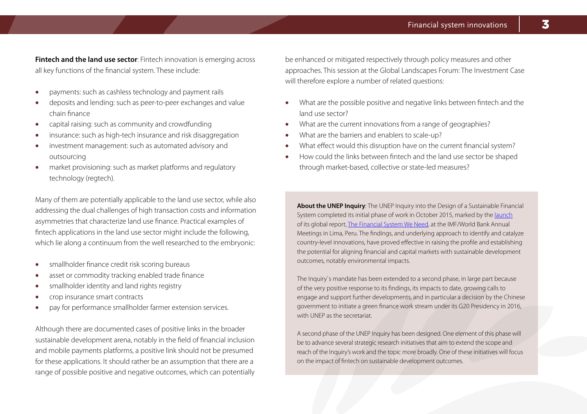**Fintech and the land use sector**: Fintech innovation is emerging across all key functions of the financial system. These include:

- payments: such as cashless technology and payment rails
- deposits and lending: such as peer-to-peer exchanges and value chain finance
- capital raising: such as community and crowdfunding
- insurance: such as high-tech insurance and risk disaggregation
- investment management: such as automated advisory and outsourcing
- market provisioning: such as market platforms and regulatory technology (regtech).

Many of them are potentially applicable to the land use sector, while also addressing the dual challenges of high transaction costs and information asymmetries that characterize land use finance. Practical examples of fintech applications in the land use sector might include the following, which lie along a continuum from the well researched to the embryonic:

- smallholder finance credit risk scoring bureaus
- asset or commodity tracking enabled trade finance
- smallholder identity and land rights registry
- crop insurance smart contracts
- pay for performance smallholder farmer extension services.

Although there are documented cases of positive links in the broader sustainable development arena, notably in the field of financial inclusion and mobile payments platforms, a positive link should not be presumed for these applications. It should rather be an assumption that there are a range of possible positive and negative outcomes, which can potentially

be enhanced or mitigated respectively through policy measures and other approaches. This session at the Global Landscapes Forum: The Investment Case will therefore explore a number of related questions:

- What are the possible positive and negative links between fintech and the land use sector?
- What are the current innovations from a range of geographies?
- What are the barriers and enablers to scale-up?
- What effect would this disruption have on the current financial system?
- How could the links between fintech and the land use sector be shaped through market-based, collective or state-led measures?

**About the UNEP Inquiry**: The UNEP Inquiry into the Design of a Sustainable Financial System completed its initial phase of work in October 2015, marked by the [launch](http://bit.ly/1K6hLks) of its global report, [The Financial System We Need,](http://unepinquiry.org/) at the IMF/World Bank Annual Meetings in Lima, Peru. The findings, and underlying approach to identify and catalyze country-level innovations, have proved effective in raising the profile and establishing the potential for aligning financial and capital markets with sustainable development outcomes, notably environmental impacts.

The Inquiry`s mandate has been extended to a second phase, in large part because of the very positive response to its findings, its impacts to date, growing calls to engage and support further developments, and in particular a decision by the Chinese government to initiate a green finance work stream under its G20 Presidency in 2016, with UNEP as the secretariat.

A second phase of the UNEP Inquiry has been designed. One element of this phase will be to advance several strategic research initiatives that aim to extend the scope and reach of the Inquiry's work and the topic more broadly. One of these initiatives will focus on the impact of fintech on sustainable development outcomes.